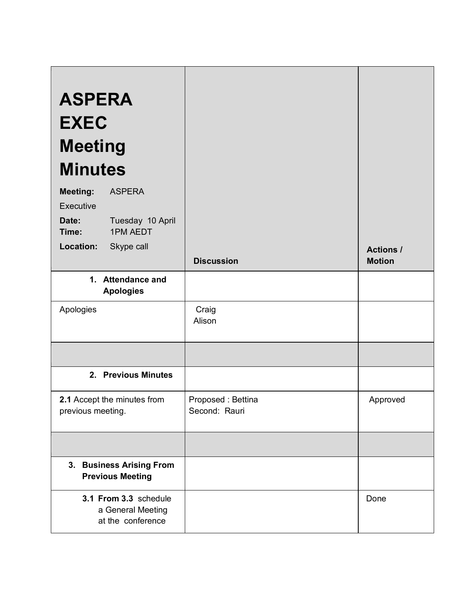| <b>ASPERA</b><br><b>EXEC</b><br><b>Meeting</b><br><b>Minutes</b><br><b>Meeting:</b><br><b>ASPERA</b><br>Executive<br>Tuesday 10 April<br>Date:<br><b>1PM AEDT</b><br>Time:<br>Skype call<br>Location: |                                    | <b>Actions /</b> |
|-------------------------------------------------------------------------------------------------------------------------------------------------------------------------------------------------------|------------------------------------|------------------|
|                                                                                                                                                                                                       | <b>Discussion</b>                  | <b>Motion</b>    |
| 1. Attendance and<br><b>Apologies</b>                                                                                                                                                                 |                                    |                  |
| Apologies                                                                                                                                                                                             | Craig<br>Alison                    |                  |
|                                                                                                                                                                                                       |                                    |                  |
| 2. Previous Minutes                                                                                                                                                                                   |                                    |                  |
| 2.1 Accept the minutes from<br>previous meeting.                                                                                                                                                      | Proposed: Bettina<br>Second: Rauri | Approved         |
|                                                                                                                                                                                                       |                                    |                  |
| 3. Business Arising From<br><b>Previous Meeting</b>                                                                                                                                                   |                                    |                  |
| 3.1 From 3.3 schedule<br>a General Meeting<br>at the conference                                                                                                                                       |                                    | Done             |

 $\overline{a}$ 

 $\mathcal{L}$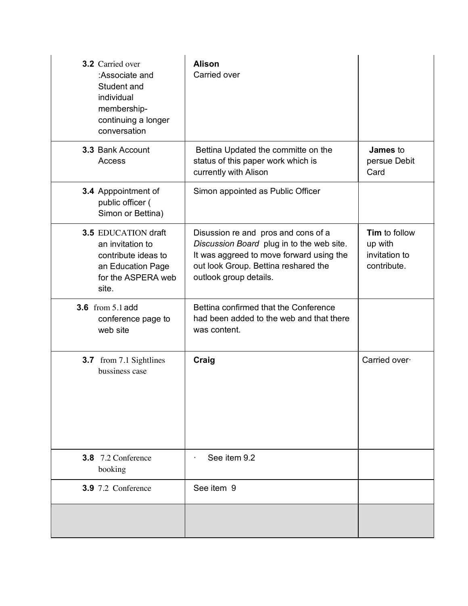| <b>3.2</b> Carried over<br>:Associate and<br>Student and<br>individual<br>membership-<br>continuing a longer<br>conversation | <b>Alison</b><br>Carried over                                                                                                                                                                  |                                                                 |
|------------------------------------------------------------------------------------------------------------------------------|------------------------------------------------------------------------------------------------------------------------------------------------------------------------------------------------|-----------------------------------------------------------------|
| 3.3 Bank Account<br>Access                                                                                                   | Bettina Updated the committe on the<br>status of this paper work which is<br>currently with Alison                                                                                             | <b>James</b> to<br>persue Debit<br>Card                         |
| 3.4 Apppointment of<br>public officer (<br>Simon or Bettina)                                                                 | Simon appointed as Public Officer                                                                                                                                                              |                                                                 |
| <b>3.5 EDUCATION draft</b><br>an invitation to<br>contribute ideas to<br>an Education Page<br>for the ASPERA web<br>site.    | Disussion re and pros and cons of a<br>Discussion Board plug in to the web site.<br>It was aggreed to move forward using the<br>out look Group. Bettina reshared the<br>outlook group details. | <b>Tim</b> to follow<br>up with<br>invitation to<br>contribute. |
| <b>3.6</b> from 5.1 add<br>conference page to<br>web site                                                                    | Bettina confirmed that the Conference<br>had been added to the web and that there<br>was content.                                                                                              |                                                                 |
| <b>3.7</b> from 7.1 Sightlines<br>bussiness case                                                                             | Craig                                                                                                                                                                                          | Carried over                                                    |
| <b>3.8</b> 7.2 Conference<br>booking                                                                                         | See item 9.2                                                                                                                                                                                   |                                                                 |
| <b>3.9</b> 7.2 Conference                                                                                                    | See item 9                                                                                                                                                                                     |                                                                 |
|                                                                                                                              |                                                                                                                                                                                                |                                                                 |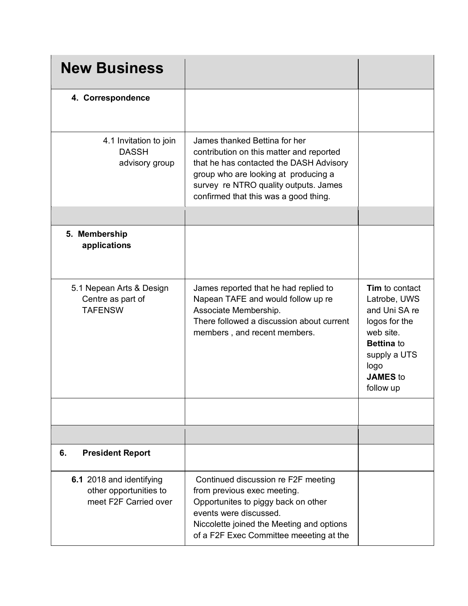| <b>New Business</b>                                                         |                                                                                                                                                                                                                                                |                                                                                                                                                            |
|-----------------------------------------------------------------------------|------------------------------------------------------------------------------------------------------------------------------------------------------------------------------------------------------------------------------------------------|------------------------------------------------------------------------------------------------------------------------------------------------------------|
| 4. Correspondence                                                           |                                                                                                                                                                                                                                                |                                                                                                                                                            |
| 4.1 Invitation to join<br><b>DASSH</b><br>advisory group                    | James thanked Bettina for her<br>contribution on this matter and reported<br>that he has contacted the DASH Advisory<br>group who are looking at producing a<br>survey re NTRO quality outputs. James<br>confirmed that this was a good thing. |                                                                                                                                                            |
|                                                                             |                                                                                                                                                                                                                                                |                                                                                                                                                            |
| 5. Membership<br>applications                                               |                                                                                                                                                                                                                                                |                                                                                                                                                            |
| 5.1 Nepean Arts & Design<br>Centre as part of<br><b>TAFENSW</b>             | James reported that he had replied to<br>Napean TAFE and would follow up re<br>Associate Membership.<br>There followed a discussion about current<br>members, and recent members.                                                              | Tim to contact<br>Latrobe, UWS<br>and Uni SA re<br>logos for the<br>web site.<br><b>Bettina to</b><br>supply a UTS<br>logo<br><b>JAMES</b> to<br>follow up |
|                                                                             |                                                                                                                                                                                                                                                |                                                                                                                                                            |
|                                                                             |                                                                                                                                                                                                                                                |                                                                                                                                                            |
| <b>President Report</b><br>6.                                               |                                                                                                                                                                                                                                                |                                                                                                                                                            |
| 6.1 2018 and identifying<br>other opportunities to<br>meet F2F Carried over | Continued discussion re F2F meeting<br>from previous exec meeting.<br>Opportunites to piggy back on other<br>events were discussed.<br>Niccolette joined the Meeting and options<br>of a F2F Exec Committee meeeting at the                    |                                                                                                                                                            |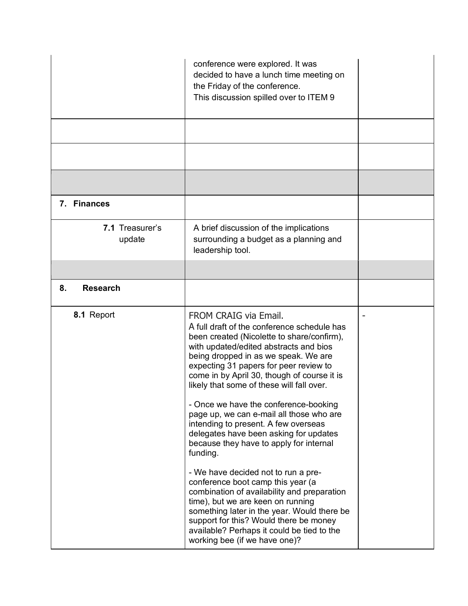|                           | conference were explored. It was<br>decided to have a lunch time meeting on<br>the Friday of the conference.<br>This discussion spilled over to ITEM 9                                                                                                                                                                                     |  |
|---------------------------|--------------------------------------------------------------------------------------------------------------------------------------------------------------------------------------------------------------------------------------------------------------------------------------------------------------------------------------------|--|
|                           |                                                                                                                                                                                                                                                                                                                                            |  |
|                           |                                                                                                                                                                                                                                                                                                                                            |  |
|                           |                                                                                                                                                                                                                                                                                                                                            |  |
| 7. Finances               |                                                                                                                                                                                                                                                                                                                                            |  |
| 7.1 Treasurer's<br>update | A brief discussion of the implications<br>surrounding a budget as a planning and<br>leadership tool.                                                                                                                                                                                                                                       |  |
|                           |                                                                                                                                                                                                                                                                                                                                            |  |
| <b>Research</b><br>8.     |                                                                                                                                                                                                                                                                                                                                            |  |
| 8.1 Report                | FROM CRAIG via Email.<br>A full draft of the conference schedule has<br>been created (Nicolette to share/confirm),<br>with updated/edited abstracts and bios<br>being dropped in as we speak. We are<br>expecting 31 papers for peer review to<br>come in by April 30, though of course it is<br>likely that some of these will fall over. |  |
|                           | - Once we have the conference-booking<br>page up, we can e-mail all those who are<br>intending to present. A few overseas<br>delegates have been asking for updates<br>because they have to apply for internal<br>funding.                                                                                                                 |  |
|                           | - We have decided not to run a pre-<br>conference boot camp this year (a<br>combination of availability and preparation<br>time), but we are keen on running<br>something later in the year. Would there be<br>support for this? Would there be money<br>available? Perhaps it could be tied to the<br>working bee (if we have one)?       |  |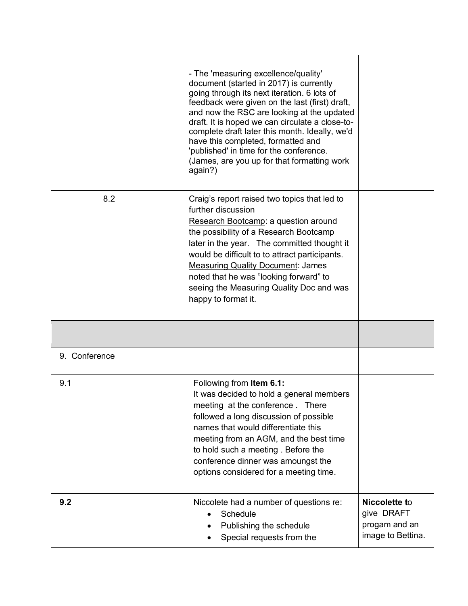|               | - The 'measuring excellence/quality'<br>document (started in 2017) is currently<br>going through its next iteration. 6 lots of<br>feedback were given on the last (first) draft,<br>and now the RSC are looking at the updated<br>draft. It is hoped we can circulate a close-to-<br>complete draft later this month. Ideally, we'd<br>have this completed, formatted and<br>'published' in time for the conference.<br>(James, are you up for that formatting work<br>again?) |                                                                   |
|---------------|--------------------------------------------------------------------------------------------------------------------------------------------------------------------------------------------------------------------------------------------------------------------------------------------------------------------------------------------------------------------------------------------------------------------------------------------------------------------------------|-------------------------------------------------------------------|
| 8.2           | Craig's report raised two topics that led to<br>further discussion<br>Research Bootcamp: a question around<br>the possibility of a Research Bootcamp<br>later in the year. The committed thought it<br>would be difficult to to attract participants.<br><b>Measuring Quality Document: James</b><br>noted that he was "looking forward" to<br>seeing the Measuring Quality Doc and was<br>happy to format it.                                                                 |                                                                   |
|               |                                                                                                                                                                                                                                                                                                                                                                                                                                                                                |                                                                   |
| 9. Conference |                                                                                                                                                                                                                                                                                                                                                                                                                                                                                |                                                                   |
| 9.1           | Following from Item 6.1:<br>It was decided to hold a general members<br>meeting at the conference. There<br>followed a long discussion of possible<br>names that would differentiate this<br>meeting from an AGM, and the best time<br>to hold such a meeting. Before the<br>conference dinner was amoungst the<br>options considered for a meeting time.                                                                                                                      |                                                                   |
| 9.2           | Niccolete had a number of questions re:<br>Schedule<br>Publishing the schedule<br>Special requests from the                                                                                                                                                                                                                                                                                                                                                                    | Niccolette to<br>give DRAFT<br>progam and an<br>image to Bettina. |